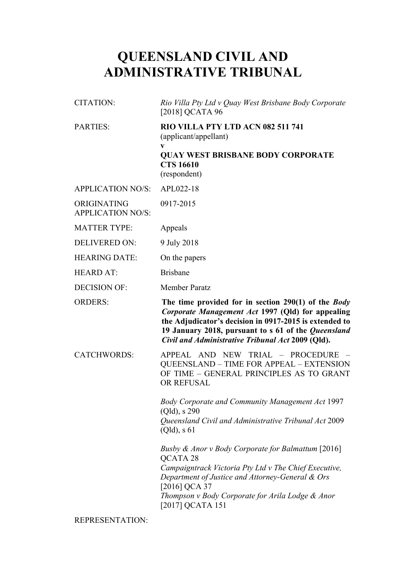# **QUEENSLAND CIVIL AND ADMINISTRATIVE TRIBUNAL**

| <b>CITATION:</b>                        | Rio Villa Pty Ltd v Quay West Brisbane Body Corporate<br>[2018] QCATA 96                                                                                                                                                                                                       |
|-----------------------------------------|--------------------------------------------------------------------------------------------------------------------------------------------------------------------------------------------------------------------------------------------------------------------------------|
| <b>PARTIES:</b>                         | RIO VILLA PTY LTD ACN 082 511 741<br>(applicant/appellant)                                                                                                                                                                                                                     |
|                                         | V<br><b>QUAY WEST BRISBANE BODY CORPORATE</b><br><b>CTS 16610</b><br>(respondent)                                                                                                                                                                                              |
| <b>APPLICATION NO/S:</b>                | APL022-18                                                                                                                                                                                                                                                                      |
| ORIGINATING<br><b>APPLICATION NO/S:</b> | 0917-2015                                                                                                                                                                                                                                                                      |
| <b>MATTER TYPE:</b>                     | Appeals                                                                                                                                                                                                                                                                        |
| <b>DELIVERED ON:</b>                    | 9 July 2018                                                                                                                                                                                                                                                                    |
| <b>HEARING DATE:</b>                    | On the papers                                                                                                                                                                                                                                                                  |
| <b>HEARD AT:</b>                        | <b>Brisbane</b>                                                                                                                                                                                                                                                                |
| <b>DECISION OF:</b>                     | <b>Member Paratz</b>                                                                                                                                                                                                                                                           |
| <b>ORDERS:</b>                          | The time provided for in section 290(1) of the Body<br>Corporate Management Act 1997 (Qld) for appealing<br>the Adjudicator's decision in 0917-2015 is extended to<br>19 January 2018, pursuant to s 61 of the Queensland<br>Civil and Administrative Tribunal Act 2009 (Qld). |
| <b>CATCHWORDS:</b>                      | APPEAL AND NEW TRIAL - PROCEDURE<br><b>QUEENSLAND - TIME FOR APPEAL - EXTENSION</b><br>OF TIME - GENERAL PRINCIPLES AS TO GRANT<br>OR REFUSAL                                                                                                                                  |
|                                         | <b>Body Corporate and Community Management Act 1997</b><br>(Qld), s290<br>Queensland Civil and Administrative Tribunal Act 2009<br>(Qld), s61                                                                                                                                  |
|                                         | Busby & Anor v Body Corporate for Balmattum [2016]<br>QCATA 28<br>Campaigntrack Victoria Pty Ltd v The Chief Executive,<br>Department of Justice and Attorney-General & Ors<br>[2016] QCA 37<br>Thompson v Body Corporate for Arila Lodge & Anor<br>[2017] QCATA 151           |

REPRESENTATION: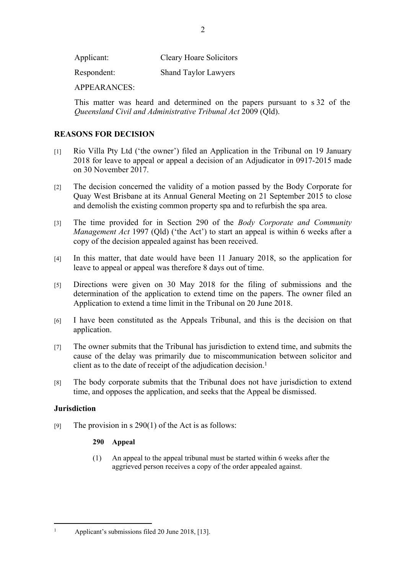Applicant: Cleary Hoare Solicitors

Respondent: Shand Taylor Lawyers

APPEARANCES:

This matter was heard and determined on the papers pursuant to s 32 of the *Queensland Civil and Administrative Tribunal Act* 2009 (Qld).

## **REASONS FOR DECISION**

- [1] Rio Villa Pty Ltd ('the owner') filed an Application in the Tribunal on 19 January 2018 for leave to appeal or appeal a decision of an Adjudicator in 0917-2015 made on 30 November 2017.
- [2] The decision concerned the validity of a motion passed by the Body Corporate for Quay West Brisbane at its Annual General Meeting on 21 September 2015 to close and demolish the existing common property spa and to refurbish the spa area.
- [3] The time provided for in Section 290 of the *Body Corporate and Community Management Act* 1997 (Qld) ('the Act') to start an appeal is within 6 weeks after a copy of the decision appealed against has been received.
- [4] In this matter, that date would have been 11 January 2018, so the application for leave to appeal or appeal was therefore 8 days out of time.
- [5] Directions were given on 30 May 2018 for the filing of submissions and the determination of the application to extend time on the papers. The owner filed an Application to extend a time limit in the Tribunal on 20 June 2018.
- [6] I have been constituted as the Appeals Tribunal, and this is the decision on that application.
- [7] The owner submits that the Tribunal has jurisdiction to extend time, and submits the cause of the delay was primarily due to miscommunication between solicitor and client as to the date of receipt of the adjudication decision.<sup>1</sup>
- [8] The body corporate submits that the Tribunal does not have jurisdiction to extend time, and opposes the application, and seeks that the Appeal be dismissed.

### **Jurisdiction**

[9] The provision in s  $290(1)$  of the Act is as follows:

### **290 Appeal**

(1) An appeal to the appeal tribunal must be started within 6 weeks after the aggrieved person receives a copy of the order appealed against.

2

1

Applicant's submissions filed 20 June 2018, [13].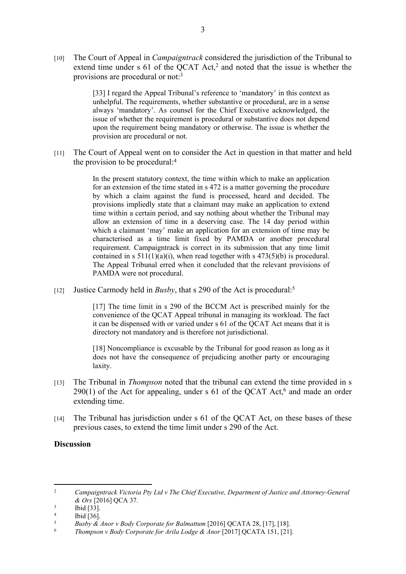[10] The Court of Appeal in *Campaigntrack* considered the jurisdiction of the Tribunal to extend time under s 61 of the QCAT Act,<sup>2</sup> and noted that the issue is whether the provisions are procedural or not:<sup>3</sup>

> [33] I regard the Appeal Tribunal's reference to 'mandatory' in this context as unhelpful. The requirements, whether substantive or procedural, are in a sense always 'mandatory'. As counsel for the Chief Executive acknowledged, the issue of whether the requirement is procedural or substantive does not depend upon the requirement being mandatory or otherwise. The issue is whether the provision are procedural or not.

[11] The Court of Appeal went on to consider the Act in question in that matter and held the provision to be procedural:<sup>4</sup>

> In the present statutory context, the time within which to make an application for an extension of the time stated in s 472 is a matter governing the procedure by which a claim against the fund is processed, heard and decided. The provisions impliedly state that a claimant may make an application to extend time within a certain period, and say nothing about whether the Tribunal may allow an extension of time in a deserving case. The 14 day period within which a claimant 'may' make an application for an extension of time may be characterised as a time limit fixed by PAMDA or another procedural requirement. Campaigntrack is correct in its submission that any time limit contained in s  $511(1)(a)(i)$ , when read together with s  $473(5)(b)$  is procedural. The Appeal Tribunal erred when it concluded that the relevant provisions of PAMDA were not procedural.

[12] Justice Carmody held in *Busby*, that s 290 of the Act is procedural:<sup>5</sup>

[17] The time limit in s 290 of the BCCM Act is prescribed mainly for the convenience of the QCAT Appeal tribunal in managing its workload. The fact it can be dispensed with or varied under s 61 of the QCAT Act means that it is directory not mandatory and is therefore not jurisdictional.

[18] Noncompliance is excusable by the Tribunal for good reason as long as it does not have the consequence of prejudicing another party or encouraging laxity.

- [13] The Tribunal in *Thompson* noted that the tribunal can extend the time provided in s  $290(1)$  of the Act for appealing, under s 61 of the QCAT Act,<sup>6</sup> and made an order extending time.
- [14] The Tribunal has jurisdiction under s 61 of the QCAT Act, on these bases of these previous cases, to extend the time limit under s 290 of the Act.

### **Discussion**

<sup>2</sup> *Campaigntrack Victoria Pty Ltd v The Chief Executive, Department of Justice and Attorney-General & Ors* [2016] QCA 37.

<sup>3</sup> Ibid [33].

<sup>4</sup>  $\frac{4}{5}$  Ibid [36].

<sup>5</sup> *Busby & Anor v Body Corporate for Balmattum* [2016] QCATA 28, [17], [18].

<sup>6</sup> *Thompson v Body Corporate for Arila Lodge & Anor* [2017] QCATA 151, [21].